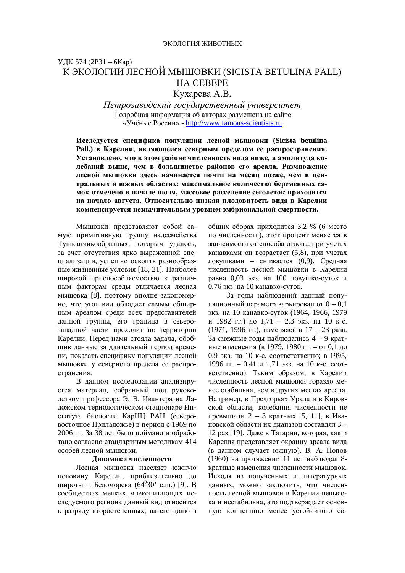# УДК 574 (2P31 – 6Кар) К ЭКОЛОГИИ ЛЕСНОЙ МЫШОВКИ (SICISTA BETULINA PALL) **HA CEBEPE**

Кухарева А.В.

*ɉɟɬɪɨɡɚɜɨɞɫɤɢɣɝɨɫɭɞɚɪɫɬɜɟɧɧɵɣɭɧɢɜɟɪɫɢɬɟɬ* Подробная информация об авторах размещена на сайте ©ɍɱɺɧɵɟɊɨɫɫɢɢ» - http://www.famous-scientists.ru

Исследуется специфика популяции лесной мышовки (Sicista betulina Раll.) в Карелии, являющейся северным пределом ее распространения. Установлено, что в этом районе численность вида ниже, а амплитуда колебаний выше, чем в большинстве районов его ареала. Размножение лесной мышовки здесь начинается почти на месяц позже, чем в центральных и южных областях: максимальное количество беременных самок отмечено в начале июля, массовое расселение сеголеток приходится на начало августа. Относительно низкая плодовитость вида в Карелии компенсируется незначительным уровнем эмбриональной смертности.

Мышовки представляют собой самую примитивную группу надсемейства Тушканчикообразных, которым удалось, за счет отсутствия ярко выраженной специализации, успешно освоить разнообразные жизненные условия [18, 21]. Наиболее широкой приспособляемостью к различным факторам среды отличается лесная мышовка [8], поэтому вполне закономерно, что этот вид обладает самым обширным ареалом среди всех представителей данной группы, его граница в северозападной части проходит по территории Карелии. Перед нами стояла задача, обобщив данные за длительный период времени, показать специфику популяции лесной мышовки у северного предела ее распространения.

В данном исследовании анализируется материал, собранный под руководством профессора Э. В. Ивантера на Ладожском териологическом стационаре Института биологии КарНЦ РАН (северовосточное Приладожье) в период с 1969 по 2006 гг. За 38 лет было поймано и обработано согласно стандартным методикам 414 особей лесной мышовки.

### Динамика численности

Лесная мышовка населяет южную половину Карелии, приблизительно до широты г. Беломорска (64<sup>0</sup>30' с.ш.) [9]. В сообществах мелких млекопитающих исследуемого региона данный вид относится к разряду второстепенных, на его долю в общих сборах приходится 3,2 % (6 место по численности), этот процент меняется в зависимости от способа отлова: при учетах канавками он возрастает (5,8), при учетах ловушками – снижается (0,9). Средняя численность лесной мышовки в Карелии равна 0,03 экз. на 100 ловушко-суток и 0,76 экз. на 10 канавко-суток.

За годы наблюдений данный популяционный параметр варьировал от  $0 - 0,1$ экз. на 10 канавко-суток (1964, 1966, 1979 и 1982 гг.) до 1,71 – 2,3 экз. на 10 к-с. (1971, 1996 гг.), изменяясь в 17 – 23 раза. За смежные годы наблюдались  $4 - 9$  кратные изменения (в 1979, 1980 гг. – от 0,1 до 0,9 экз. на 10 к-с. соответственно: в 1995, 1996 гг. – 0,41 и 1,71 экз. на 10 к-с. соответственно). Таким образом, в Карелии численность лесной мышовки гораздо менее стабильна, чем в других местах ареала. Например, в Предгорьях Урала и в Кировской области, колебания численности не превышали 2 – 3 кратных [5, 11], в Ивановской области их диапазон составлял 3 – 12 раз [19]. Даже в Татарии, которая, как и Карелия представляет окраину ареала вида (в данном случает южную), В. А. Попов (1960) на протяжении 11 лет наблюдал 8кратные изменения численности мышовок. Исходя из полученных и литературных данных, можно заключить, что численность лесной мышовки в Карелии невысока и нестабильна, это подтверждает основную концепцию менее устойчивого со-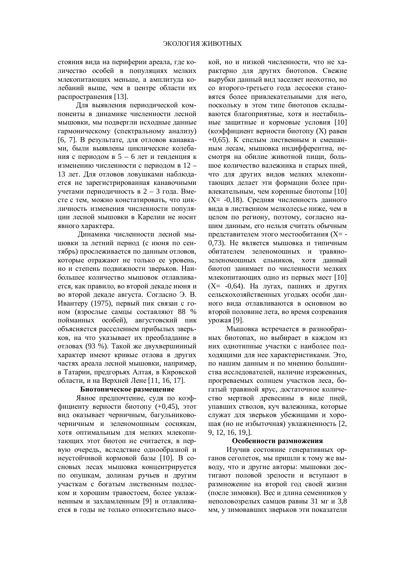стояния вида на периферии ареала, где количество особей в популяциях мелких млекопитающих меньше, а амплитула колебаний выше, чем в центре области их распространения [13].

Для выявления периодической компоненты в динамике численности лесной мышовки, мы подвергли исходные данные гармоническому (спектральному анализу) [6, 7]. В результате, для отловов канавками, были выявлены циклические колебания с периодом в 5 – 6 лет и тенденция к изменению численности с периодом в 12 – 13 лет. Для отловов ловушками наблюдается не зарегистрированная канавочными үчетами периодичность в 2 – 3 года. Вместе с тем, можно констатировать, что цикличность изменения численности популяции лесной мышовки в Карелии не носит явного характера.

Динамика численности лесной мышовки за летний период (с июня по сентябрь) прослеживается по данным отловов. которые отражают не только ее уровень, но и степень подвижности зверьков. Наибольшее количество мышовок отлавливается, как правило, во второй декаде июня и во второй декаде августа. Согласно Э. В. Ивантеру (1975), первый пик связан с гоном (взрослые самцы составляют 88 % пойманных особей), августовский пик объясняется расселением прибылых зверьков, на что указывает их преобладание в отловах (93 %). Такой же двухвершинный характер имеют кривые отлова в других частях ареала лесной мышовки, например, в Татарии, предгорьях Алтая, в Кировской области, и на Верхней Лене [11, 16, 17].

### **Биотопическое размещение**

Явное предпочтение, судя по коэффициенту верности биотопу (+0,45), этот вид оказывает черничным, багульниковочерничным и зеленомошным соснякам, хотя оптимальным для мелких млекопитающих этот биотоп не считается, в первую очередь, вследствие однообразной и неустойчивой кормовой базы [10]. В сосновых лесах мышовка концентрируется по опушкам, долинам ручьев и другим участкам с богатым лиственным подлеском и хорошим травостоем. более увлажненным и захламленным [9] и отлавливается в годы не только относительно высокой, но и низкой численности, что не характерно для других биотопов. Свежие вырубки данный вид заселяет неохотно, но со второго-третьего года лесосеки становятся более привлекательными для него, поскольку в этом типе биотопов складываются благоприятные, хотя и нестабильные защитные и кормовые условия [10] (коэффициент верности биотопу (X) равен  $+0.65$ ). К спелым лиственным и смешанным лесам, мышовка индифферентна, несмотря на обилие животной пищи, большое количество валежника и старых пней, что для других видов мелких млекопитающих делает эти формации более привлекательным, чем коренные биотопы [10]  $(X= -0.18)$ . Средняя численность данного вила в лиственном мелколесье ниже, чем в целом по региону, поэтому, согласно нашим данным, его нельзя считать обычным представителем этого местообитания (X= -0.73). Не является мышовка и типичным обитателем зеленомошных и травянозеленомошных ельников, хотя данный биотоп занимает по численности мелких млекопитающих одно из первых мест [10]  $(X = -0.64)$ . На лугах, пашнях и других сельскохозяйственных угодьях особи данного вида отлавливаются в основном во второй половине лета, во время созревания урожая [9].

Мышовка встречается в разнообразных биотопах, но выбирает в каждом из них однотипные участки с наиболее подходящими для нее характеристиками. Это, по нашим данным и по мнению большинства исследователей, наличие изреженных, прогреваемых солнцем участков леса, богатый травяной ярус, достаточное количество мертвой древесины в виде пней, упавших стволов, куч валежника, которые служат для зверьков убежищами и хорошая (но не избыточная) увлажненность [2, 9, 12, 16, 19,].

#### Особенности размножения

Изучив состояние генеративных органов сеголеток, мы пришли к тому же выводу, что и другие авторы: мышовки достигают половой зрелости и вступают в размножение на второй год своей жизни (после зимовки). Вес и длина семенников у неполовозрелых самцов равны 31 мг и 3,8 мм, у зимовавших зверьков эти показатели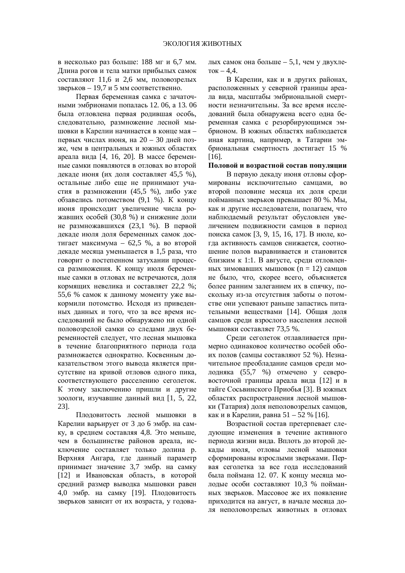в несколько раз больше: 188 мг и 6,7 мм. Длина рогов и тела матки прибылых самок  $c$ оставляют 11,6 и 2,6 мм, половозрелых  $3$ верьков – 19,7 и 5 мм соответственно.

Первая беременная самка с зачаточными эмбрионами попалась 12. 06, а 13. 06 была отловлена первая родившая особь, следовательно, размножение лесной мышовки в Карелии начинается в конце мая первых числах июня, на 20 – 30 дней позже, чем в центральных и южных областях ареала вида [4, 16, 20]. В массе беременные самки появляются в отловах во второй декаде июня (их доля составляет 45,5 %), остальные либо еще не принимают участия в размножении (45,5 %), либо уже обзавелись потомством (9,1 %). К концу июня происходит увеличение числа рожавших особей (30,8 %) и снижение доли не размножавшихся (23,1 %). В первой декаде июля доля беременных самок достигает максимума – 62,5 %, а во второй декаде месяца уменьшается в 1,5 раза, что говорит о постепенном затухании процесса размножения. К концу июля беременные самки в отловах не встречаются, доля кормящих невелика и составляет 22,2 %; 55,6 % самок к данному моменту уже выкормили потомство. Исходя из приведенных данных и того, что за все время исследований не было обнаружено ни одной половозрелой самки со следами двух беременностей следует, что лесная мышовка в течение благоприятного периода года размножается однократно. Косвенным доказательством этого вывода является присутствие на кривой отловов одного пика. соответствующего расселению сеголеток. К этому заключению пришли и другие зоологи, изучавшие данный вид [1, 5, 22, 23].

Плодовитость лесной мышовки в Карелии варьирует от 3 до 6 эмбр. на самку, в среднем составляя 4,8. Это меньше, чем в большинстве районов ареала, исключение составляет только долина р. Верхняя Ангара, где данный параметр принимает значение 3,7 эмбр. на самку [12] и Ивановская область, в которой средний размер выводка мышовки равен 4,0 эмбр. на самку [19]. Плодовитость зверьков зависит от их возраста, у годовалых самок она больше – 5,1, чем у двухле- $TOK - 4.4.$ 

В Карелии, как и в других районах. расположенных у северной границы ареала вида, масштабы эмбриональной смертности незначительны. За все время исследований была обнаружена всего одна беременная самка с резорбирующимся эмбрионом. В южных областях наблюдается иная картина, например, в Татарии эмбриональная смертность достигает 15 % [16].

### Половой и возрастной состав популяции

В первую декаду июня отловы сформированы исключительно самцами, во второй половине месяца их доля среди пойманных зверьков превышает 80 %. Мы, как и другие исследователи, полагаем, что наблюдаемый результат обусловлен увеличением подвижности самцов в период поиска самок [3, 9, 15, 16, 17]. В июле, когла активность самнов снижается, соотношение полов выравнивается и становится близким к 1:1. В августе, среди отловленных зимовавших мышовок (n = 12) самцов не было, что, скорее всего, объясняется более ранним залеганием их в спячку, поскольку из-за отсутствия заботы о потомстве они успевают раньше запастись питательными веществами [14]. Общая доля самцов среди взрослого населения лесной мышовки составляет 73,5 %.

Среди сеголеток отлавливается примерно одинаковое количество особей обоих полов (самцы составляют 52 %). Незначительное преобладание самцов среди мододняка (55,7 %) отмечено у северовосточной границы ареала вида [12] и в тайге Сосьвинского Приобья [3]. В южных областях распространения лесной мышовки (Татария) доля неполовозрелых самцов. как и в Карелии, равна  $51 - 52$  % [16].

Возрастной состав претерпевает следующие изменения в течение активного периода жизни вида. Вплоть до второй декады июля, отловы лесной мышовки сформированы взрослыми зверьками. Первая сеголетка за все года исследований была поймана 12. 07. К концу месяца молодые особи составляют 10,3 % пойманных зверьков. Массовое же их появление приходится на август, в начале месяца доля неполовозрелых животных в отловах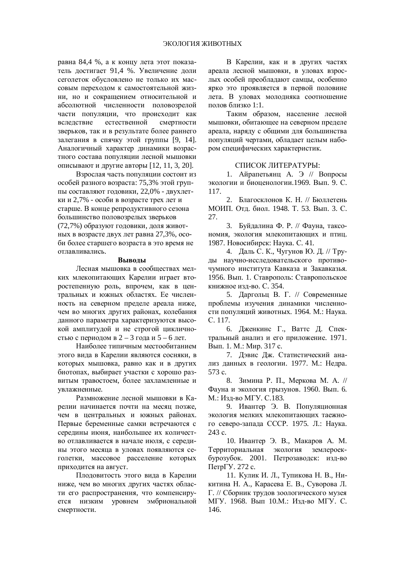равна 84,4 %, а к концу лета этот показатель достигает 91,4 %. Увеличение доли сеголеток обусловлено не только их массовым переходом к самостоятельной жизни, но и сокращением относительной и абсолютной численности половозрелой части популяции, что происходит как вследствие естественной смертности зверьков, так и в результате более раннего залегания в спячку этой группы [9, 14]. Аналогичный характер динамики возрастного состава популяции лесной мышовки описывают и другие авторы  $[12, 11, 3, 20]$ .

Взрослая часть популяции состоит из особей разного возраста: 75,3% этой группы составляют годовики, 22,0% - двухлетки и 2,7% - особи в возрасте трех лет и старше. В конце репродуктивного сезона большинство половозрелых зверьков (72,7%) образуют годовики, доля животных в возрасте двух лет равна 27,3%, особи более старшего возраста в это время не отлавливались.

#### **Выволы**

Лесная мышовка в сообществах мелких млекопитающих Карелии играет второстепенную роль, впрочем, как в центральных и южных областях. Ее численность на северном пределе ареала ниже. чем во многих других районах, колебания данного параметра характеризуются высокой амплитудой и не строгой цикличностью с периодом в 2 – 3 года и 5 – 6 лет.

Наиболее типичным местообитанием этого вида в Карелии являются сосняки, в которых мышовка, равно как и в других биотопах, выбирает участки с хорошо развитым травостоем, более захламленные и увлажненные.

Размножение лесной мышовки в Карелии начинается почти на месяц позже. чем в центральных и южных районах. Первые беременные самки встречаются с середины июня, наибольшее их количество отлавливается в начале июля, с середины этого месяца в уловах появляются сеголетки, массовое расселение которых приходится на август.

Плодовитость этого вида в Карелии ниже, чем во многих других частях области его распространения, что компенсируется низким уровнем эмбриональной смертности.

В Карелии, как и в других частях ареала лесной мышовки, в уловах взрослых особей преобладают самцы, особенно ярко это проявляется в первой половине лета. В уловах молодняка соотношение полов близко  $1:1$ .

Таким образом, население лесной мышовки, обитающее на северном пределе ареала, наряду с общими для большинства популяций чертами, обладает целым набором специфических характеристик.

#### СПИСОК ЛИТЕРАТУРЫ:

1. Айрапетьянц А. Э // Вопросы экологии и биоценологии.1969. Вып. 9. С. 117.

2. Благосклонов К. Н. // Бюллетень МОИП. Отд. биол. 1948. Т. 53. Вып. 3. С. 27.

3. Буйдалина Ф. Р. // Фауна, таксономия, экология млекопитающих и птиц. 1987. Новосибирск: Наука. С. 41.

4. Даль С. К., Чугунов Ю. Д. // Труды научно-исследовательского противочумного института Кавказа и Закавказья. 1956. Вып. 1. Ставрополь: Ставропольское книжное изд-во. С. 354.

5. Даргольц В. Г. // Современные проблемы изучения динамики численности популяций животных. 1964. М.: Наука. ɋ. 117.

6. Дженкинс Г., Ваттс Д. Спектральный анализ и его приложение. 1971. Вып. 1. М.: Мир. 317 с.

7. Дэвис Дж. Статистический анализ данных в геологии. 1977. М.: Недра. 573 c.

8. Зимина Р. П., Меркова М. А. // Фауна и экология грызунов. 1960. Вып. 6. М.: Изд-во МГУ. С.183.

9. Ивантер Э. В. Популяционная экология мелких млекопитающих таежного северо-запада СССР. 1975. Л.: Наука. 243 c.

10. Ивантер Э. В., Макаров А. М. Территориальная экология землероекбурозубок. 2001. Петрозаводск: изд-во ПетрГУ. 272 с.

11. Кулик И. Л., Тупикова Н. В., Никитина Н. А., Карасева Е. В., Суворова Л. Г. // Сборник трудов зоологического музея МГУ. 1968. Вып 10.М.: Изд-во МГУ. С. 146.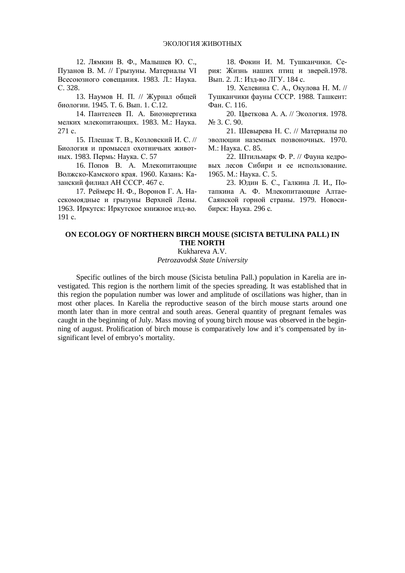12. Лямкин В. Ф., Малышев Ю. С., Пузанов В. М. // Грызуны. Материалы VI  $\text{Bceco}$ юзного совещания. 1983. Л.: Наука. ɋ. 328.

13. Наумов Н. П. // Журнал общей биологии. 1945. Т. 6. Вып. 1. С.12.

14. Пантелеев П. А. Биоэнергетика мелких млекопитающих. 1983. М.: Наука. 271 c.

15. Плешак Т. В., Козловский И. С. // Биология и промысел охотничьих животных. 1983. Пермь: Наука. С. 57

16. Попов В. А. Млекопитающие Волжско-Камского края. 1960. Казань: Казанский филиал АН СССР. 467 с.

17. Реймерс Н. Ф., Воронов Г. А. Насекомоядные и грызуны Верхней Лены. 1963. Иркутск: Иркутское книжное изд-во. 191 c.

18. Фокин И. М. Тушканчики. Серия: Жизнь наших птиц и зверей.1978. Вып. 2. Л.: Изд-во ЛГУ. 184 с.

19. Хелевина С. А., Окулова Н. М. // Тушканчики фауны СССР. 1988. Ташкент: Ɏɚɧ. ɋ. 116.

20. Цветкова А. А. // Экология. 1978. No 3. C. 90.

21. Шевырева Н. С. // Материалы по эволюции наземных позвоночных. 1970. М.: Наука. С. 85.

22. Штильмарк Ф. Р. // Фауна кедровых лесов Сибири и ее использование. 1965. М.: Наука. С. 5.

23. Юдин Б. С., Галкина Л. И., Потапкина А. Ф. Млекопитающие Алтае-Саянской горной страны. 1979. Новосибирск: Наука. 296 с.

## **ON ECOLOGY OF NORTHERN BIRCH MOUSE (SICISTA BETULINA PALL) IN THE NORTH**

Kukhareva A.V. *Petrozavodsk State University* 

Specific outlines of the birch mouse (Sicista betulina Pall.) population in Karelia are investigated. This region is the northern limit of the species spreading. It was established that in this region the population number was lower and amplitude of oscillations was higher, than in most other places. In Karelia the reproductive season of the birch mouse starts around one month later than in more central and south areas. General quantity of pregnant females was caught in the beginning of July. Mass moving of young birch mouse was observed in the beginning of august. Prolification of birch mouse is comparatively low and it's compensated by insignificant level of embryo's mortality.